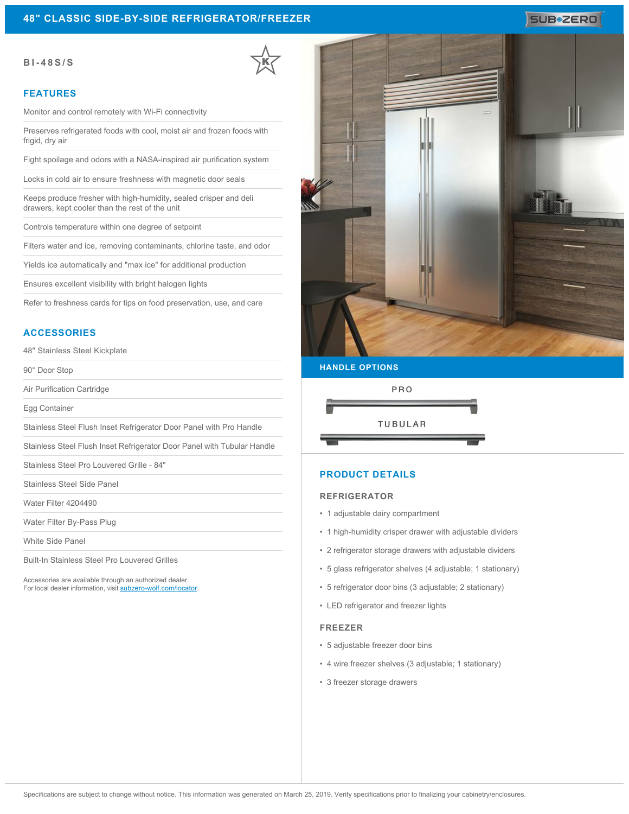#### **BI-48S/S**

#### **FEATURES**

Monitor and control remotely with Wi-Fi connectivity

Preserves refrigerated foods with cool, moist air and frozen foods with frigid, dry air

Fight spoilage and odors with a NASA-inspired air purification system

Locks in cold air to ensure freshness with magnetic door seals

Keeps produce fresher with high-humidity, sealed crisper and deli drawers, kept cooler than the rest of the unit

Controls temperature within one degree of setpoint

Filters water and ice, removing contaminants, chlorine taste, and odor

Yields ice automatically and "max ice" for additional production

Ensures excellent visibility with bright halogen lights

Refer to freshness cards for tips on food preservation, use, and care

### **ACCESSORIES**

48" Stainless Steel Kickplate

90° Door Stop

Air Purification Cartridge

Egg Container

Stainless Steel Flush Inset Refrigerator Door Panel with Pro Handle

Stainless Steel Flush Inset Refrigerator Door Panel with Tubular Handle

Stainless Steel Pro Louvered Grille - 84"

Stainless Steel Side Panel

Water Filter 4204490

Water Filter By-Pass Plug

White Side Panel

Built-In Stainless Steel Pro Louvered Grilles

Accessories are available through an authorized dealer. For local dealer information, visit [subzero-wolf.com/locator.](http://www.subzero-wolf.com/locator)



SUB<sup>\*</sup>ZERO

# **HANDLE OPTIONS**



### **PRODUCT DETAILS**

#### **REFRIGERATOR**

- 1 adjustable dairy compartment
- 1 high-humidity crisper drawer with adjustable dividers
- 2 refrigerator storage drawers with adjustable dividers
- 5 glass refrigerator shelves (4 adjustable; 1 stationary)
- 5 refrigerator door bins (3 adjustable; 2 stationary)
- LED refrigerator and freezer lights

#### **FREEZER**

- 5 adjustable freezer door bins
- 4 wire freezer shelves (3 adjustable; 1 stationary)
- 3 freezer storage drawers